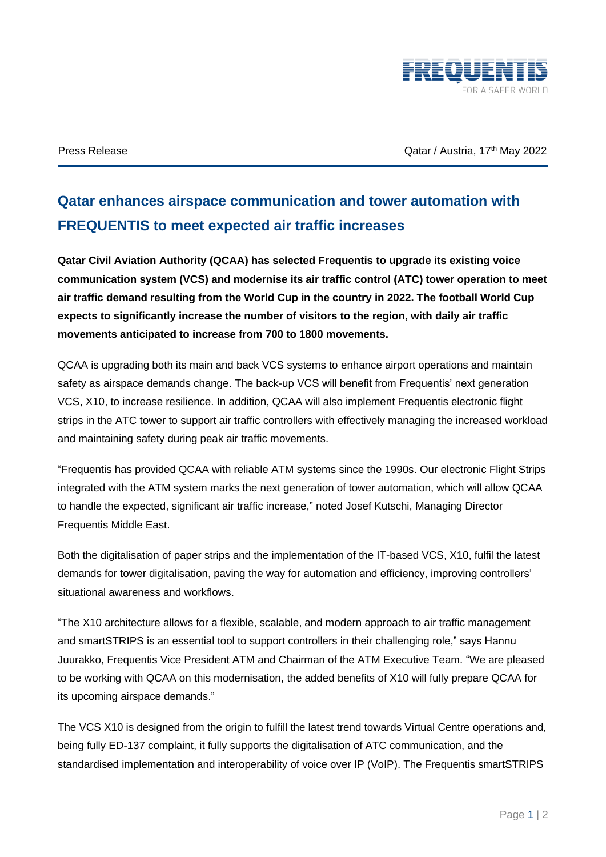

Press Release **The Catacal Strutter Catacal Strutter Catacal Austria**, 17<sup>th</sup> May 2022

## **Qatar enhances airspace communication and tower automation with FREQUENTIS to meet expected air traffic increases**

**Qatar Civil Aviation Authority (QCAA) has selected Frequentis to upgrade its existing voice communication system (VCS) and modernise its air traffic control (ATC) tower operation to meet air traffic demand resulting from the World Cup in the country in 2022. The football World Cup expects to significantly increase the number of visitors to the region, with daily air traffic movements anticipated to increase from 700 to 1800 movements.** 

QCAA is upgrading both its main and back VCS systems to enhance airport operations and maintain safety as airspace demands change. The back-up VCS will benefit from Frequentis' next generation VCS, X10, to increase resilience. In addition, QCAA will also implement Frequentis electronic flight strips in the ATC tower to support air traffic controllers with effectively managing the increased workload and maintaining safety during peak air traffic movements.

"Frequentis has provided QCAA with reliable ATM systems since the 1990s. Our electronic Flight Strips integrated with the ATM system marks the next generation of tower automation, which will allow QCAA to handle the expected, significant air traffic increase," noted Josef Kutschi, Managing Director Frequentis Middle East.

Both the digitalisation of paper strips and the implementation of the IT-based VCS, X10, fulfil the latest demands for tower digitalisation, paving the way for automation and efficiency, improving controllers' situational awareness and workflows.

"The X10 architecture allows for a flexible, scalable, and modern approach to air traffic management and smartSTRIPS is an essential tool to support controllers in their challenging role," says Hannu Juurakko, Frequentis Vice President ATM and Chairman of the ATM Executive Team. "We are pleased to be working with QCAA on this modernisation, the added benefits of X10 will fully prepare QCAA for its upcoming airspace demands."

The VCS X10 is designed from the origin to fulfill the latest trend towards Virtual Centre operations and, being fully ED-137 complaint, it fully supports the digitalisation of ATC communication, and the standardised implementation and interoperability of voice over IP (VoIP). The Frequentis smartSTRIPS